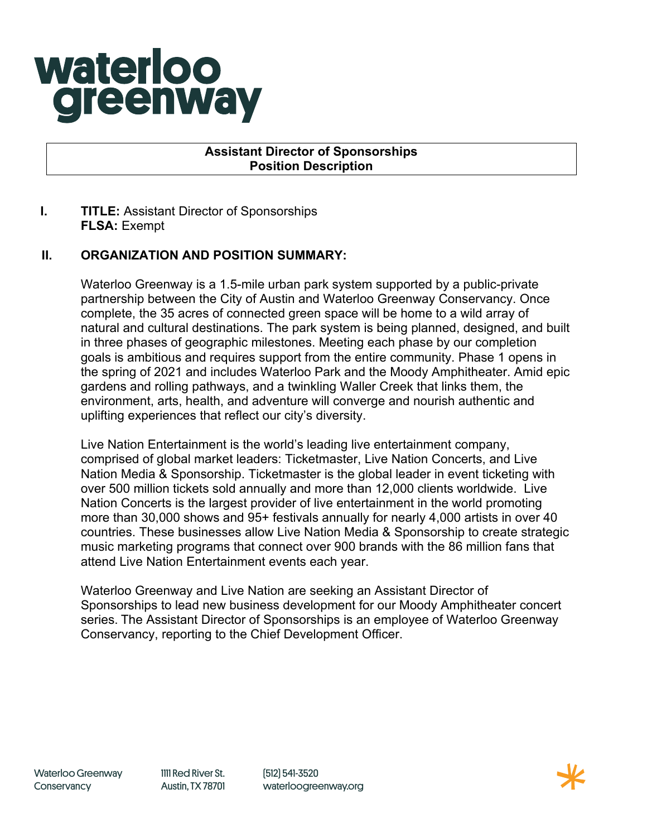# **waterloo** greenway

### **Assistant Director of Sponsorships Position Description**

## **I. TITLE:** Assistant Director of Sponsorships **FLSA:** Exempt

## **II. ORGANIZATION AND POSITION SUMMARY:**

Waterloo Greenway is a 1.5-mile urban park system supported by a public-private partnership between the City of Austin and Waterloo Greenway Conservancy. Once complete, the 35 acres of connected green space will be home to a wild array of natural and cultural destinations. The park system is being planned, designed, and built in three phases of geographic milestones. Meeting each phase by our completion goals is ambitious and requires support from the entire community. Phase 1 opens in the spring of 2021 and includes Waterloo Park and the Moody Amphitheater. Amid epic gardens and rolling pathways, and a twinkling Waller Creek that links them, the environment, arts, health, and adventure will converge and nourish authentic and uplifting experiences that reflect our city's diversity.

Live Nation Entertainment is the world's leading live entertainment company, comprised of global market leaders: Ticketmaster, Live Nation Concerts, and Live Nation Media & Sponsorship. Ticketmaster is the global leader in event ticketing with over 500 million tickets sold annually and more than 12,000 clients worldwide. Live Nation Concerts is the largest provider of live entertainment in the world promoting more than 30,000 shows and 95+ festivals annually for nearly 4,000 artists in over 40 countries. These businesses allow Live Nation Media & Sponsorship to create strategic music marketing programs that connect over 900 brands with the 86 million fans that attend Live Nation Entertainment events each year.

Waterloo Greenway and Live Nation are seeking an Assistant Director of Sponsorships to lead new business development for our Moody Amphitheater concert series. The Assistant Director of Sponsorships is an employee of Waterloo Greenway Conservancy, reporting to the Chief Development Officer.

(512) 541-3520 waterloogreenway.org

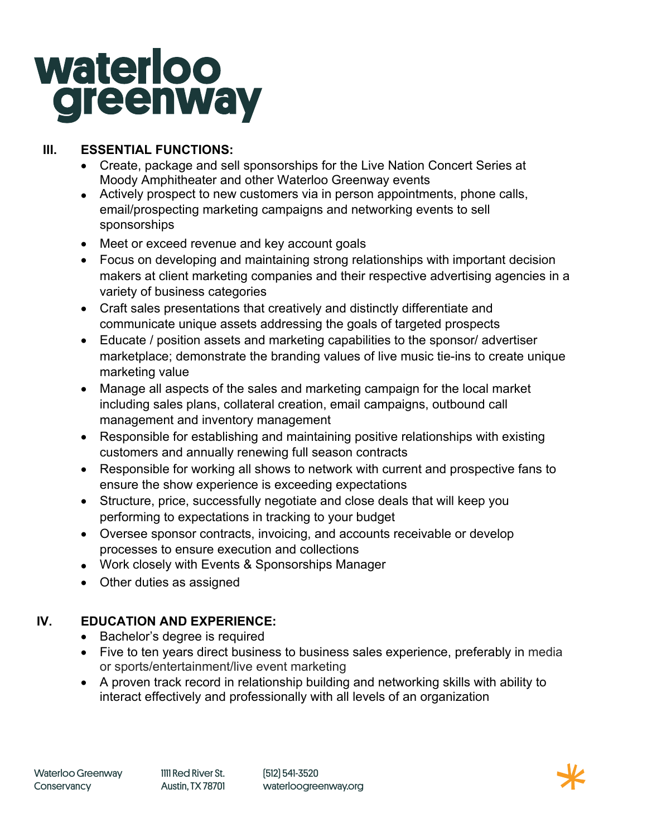# **waterloo greenway**

## **III. ESSENTIAL FUNCTIONS:**

- Create, package and sell sponsorships for the Live Nation Concert Series at Moody Amphitheater and other Waterloo Greenway events
- Actively prospect to new customers via in person appointments, phone calls, email/prospecting marketing campaigns and networking events to sell sponsorships
- Meet or exceed revenue and key account goals
- Focus on developing and maintaining strong relationships with important decision makers at client marketing companies and their respective advertising agencies in a variety of business categories
- Craft sales presentations that creatively and distinctly differentiate and communicate unique assets addressing the goals of targeted prospects
- Educate / position assets and marketing capabilities to the sponsor/ advertiser marketplace; demonstrate the branding values of live music tie-ins to create unique marketing value
- Manage all aspects of the sales and marketing campaign for the local market including sales plans, collateral creation, email campaigns, outbound call management and inventory management
- Responsible for establishing and maintaining positive relationships with existing customers and annually renewing full season contracts
- Responsible for working all shows to network with current and prospective fans to ensure the show experience is exceeding expectations
- Structure, price, successfully negotiate and close deals that will keep you performing to expectations in tracking to your budget
- Oversee sponsor contracts, invoicing, and accounts receivable or develop processes to ensure execution and collections
- Work closely with Events & Sponsorships Manager
- Other duties as assigned

# **IV. EDUCATION AND EXPERIENCE:**

- Bachelor's degree is required
- Five to ten years direct business to business sales experience, preferably in media or sports/entertainment/live event marketing
- A proven track record in relationship building and networking skills with ability to interact effectively and professionally with all levels of an organization